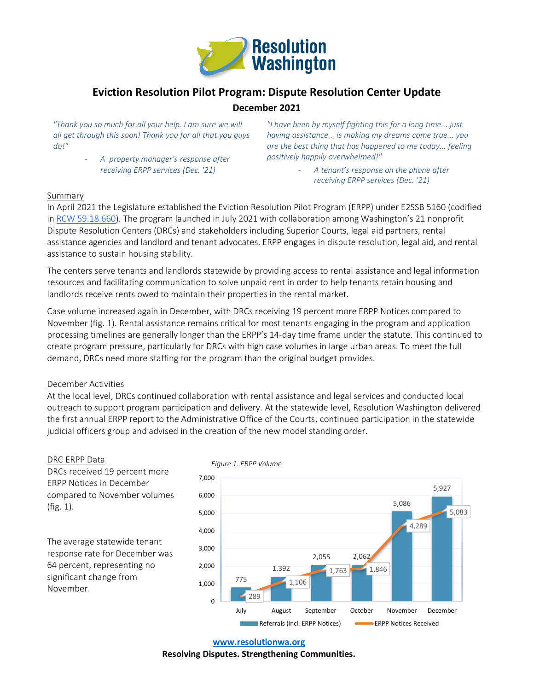

# **Eviction Resolution Pilot Program: Dispute Resolution Center Update**

# **December 2021**

*"Thank you so much for all your help. I am sure we will all get through this soon! Thank you for all that you guys do!"* 

> - *A property manager's response after receiving ERPP services (Dec. '21)*

*"I have been by myself fighting this for a long time... just having assistance... is making my dreams come true... you are the best thing that has happened to me today... feeling positively happily overwhelmed!"* 

> - *A tenant's response on the phone after receiving ERPP services (Dec. '21)*

### Summary

In April 2021 the Legislature established the Eviction Resolution Pilot Program (ERPP) under E2SSB 5160 (codified in RCW 59.18.660). The program launched in July 2021 with collaboration among Washington's 21 nonprofit Dispute Resolution Centers (DRCs) and stakeholders including Superior Courts, legal aid partners, rental assistance agencies and landlord and tenant advocates. ERPP engages in dispute resolution, legal aid, and rental assistance to sustain housing stability.

The centers serve tenants and landlords statewide by providing access to rental assistance and legal information resources and facilitating communication to solve unpaid rent in order to help tenants retain housing and landlords receive rents owed to maintain their properties in the rental market.

Case volume increased again in December, with DRCs receiving 19 percent more ERPP Notices compared to November (fig. 1). Rental assistance remains critical for most tenants engaging in the program and application processing timelines are generally longer than the ERPP's 14-day time frame under the statute. This continued to create program pressure, particularly for DRCs with high case volumes in large urban areas. To meet the full demand, DRCs need more staffing for the program than the original budget provides.

### December Activities

At the local level, DRCs continued collaboration with rental assistance and legal services and conducted local outreach to support program participation and delivery. At the statewide level, Resolution Washington delivered the first annual ERPP report to the Administrative Office of the Courts, continued participation in the statewide judicial officers group and advised in the creation of the new model standing order.

#### DRC ERPP Data

DRCs received 19 percent more ERPP Notices in December compared to November volumes (fig. 1).

The average statewide tenant response rate for December was 64 percent, representing no significant change from November.



**www.resolutionwa.org**

**Resolving Disputes. Strengthening Communities.**